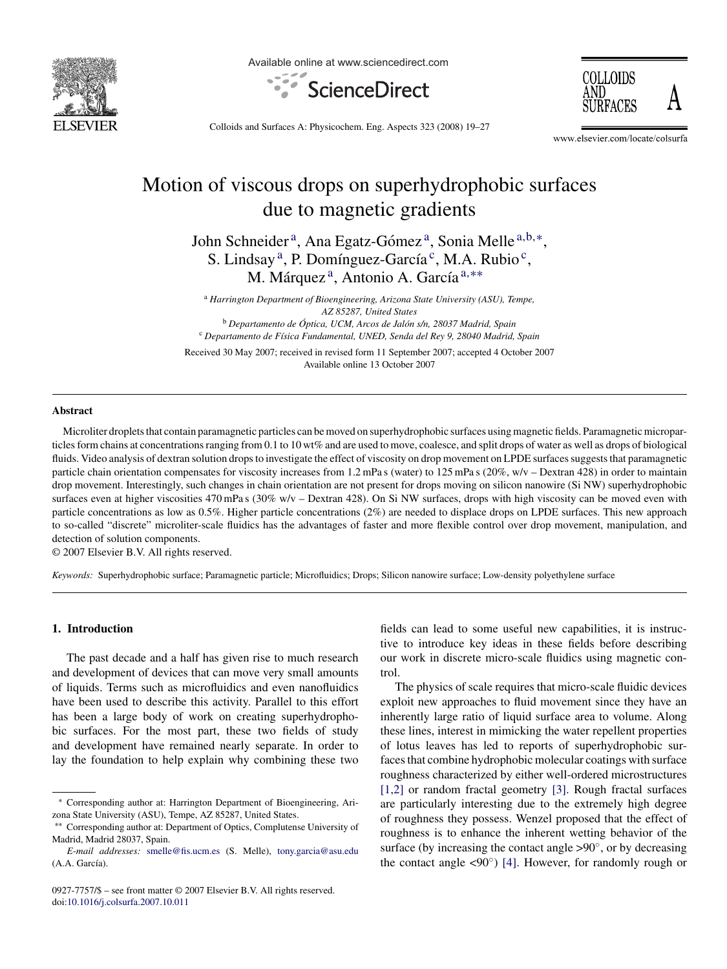

Available online at www.sciencedirect.com





Colloids and Surfaces A: Physicochem. Eng. Aspects 323 (2008) 19–27

www.elsevier.com/locate/colsurfa

# Motion of viscous drops on superhydrophobic surfaces due to magnetic gradients

John Schneider<sup>a</sup>, Ana Egatz-Gómez<sup>a</sup>, Sonia Melle<sup>a,b,\*</sup>, S. Lindsay<sup>a</sup>, P. Domínguez-García<sup>c</sup>, M.A. Rubio<sup>c</sup>, M. Márquez<sup>a</sup>, Antonio A. García<sup>a,</sup> \*\*

<sup>a</sup> *Harrington Department of Bioengineering, Arizona State University (ASU), Tempe, AZ 85287, United States* <sup>b</sup> *Departamento de Optica, UCM, Arcos de Jal ´ ´ on s/n, 28037 Madrid, Spain* <sup>c</sup> *Departamento de F´ısica Fundamental, UNED, Senda del Rey 9, 28040 Madrid, Spain*

Received 30 May 2007; received in revised form 11 September 2007; accepted 4 October 2007 Available online 13 October 2007

## **Abstract**

Microliter droplets that contain paramagnetic particles can be moved on superhydrophobic surfaces using magnetic fields. Paramagnetic microparticles form chains at concentrations ranging from 0.1 to 10 wt% and are used to move, coalesce, and split drops of water as well as drops of biological fluids. Video analysis of dextran solution drops to investigate the effect of viscosity on drop movement on LPDE surfaces suggests that paramagnetic particle chain orientation compensates for viscosity increases from 1.2 mPa s (water) to 125 mPa s (20%, w/v – Dextran 428) in order to maintain drop movement. Interestingly, such changes in chain orientation are not present for drops moving on silicon nanowire (Si NW) superhydrophobic surfaces even at higher viscosities 470 mPa s (30% w/v – Dextran 428). On Si NW surfaces, drops with high viscosity can be moved even with particle concentrations as low as 0.5%. Higher particle concentrations (2%) are needed to displace drops on LPDE surfaces. This new approach to so-called "discrete" microliter-scale fluidics has the advantages of faster and more flexible control over drop movement, manipulation, and detection of solution components.

© 2007 Elsevier B.V. All rights reserved.

*Keywords:* Superhydrophobic surface; Paramagnetic particle; Microfluidics; Drops; Silicon nanowire surface; Low-density polyethylene surface

#### **1. Introduction**

The past decade and a half has given rise to much research and development of devices that can move very small amounts of liquids. Terms such as microfluidics and even nanofluidics have been used to describe this activity. Parallel to this effort has been a large body of work on creating superhydrophobic surfaces. For the most part, these two fields of study and development have remained nearly separate. In order to lay the foundation to help explain why combining these two

fields can lead to some useful new capabilities, it is instructive to introduce key ideas in these fields before describing our work in discrete micro-scale fluidics using magnetic control.

The physics of scale requires that micro-scale fluidic devices exploit new approaches to fluid movement since they have an inherently large ratio of liquid surface area to volume. Along these lines, interest in mimicking the water repellent properties of lotus leaves has led to reports of superhydrophobic surfaces that combine hydrophobic molecular coatings with surface roughness characterized by either well-ordered microstructures [\[1,2\]](#page-7-0) or random fractal geometry [\[3\].](#page-7-0) Rough fractal surfaces are particularly interesting due to the extremely high degree of roughness they possess. Wenzel proposed that the effect of roughness is to enhance the inherent wetting behavior of the surface (by increasing the contact angle  $>90^\circ$ , or by decreasing the contact angle  $\langle 90^\circ \rangle$  [\[4\].](#page-7-0) However, for randomly rough or

<sup>∗</sup> Corresponding author at: Harrington Department of Bioengineering, Arizona State University (ASU), Tempe, AZ 85287, United States.

<sup>∗∗</sup> Corresponding author at: Department of Optics, Complutense University of Madrid, Madrid 28037, Spain.

*E-mail addresses:* [smelle@fis.ucm.es](mailto:smelle@fis.ucm.es) (S. Melle), [tony.garcia@asu.edu](mailto:tony.garcia@asu.edu)  $(A.A.$  García).

<sup>0927-7757/\$ –</sup> see front matter © 2007 Elsevier B.V. All rights reserved. doi[:10.1016/j.colsurfa.2007.10.011](dx.doi.org/10.1016/j.colsurfa.2007.10.011)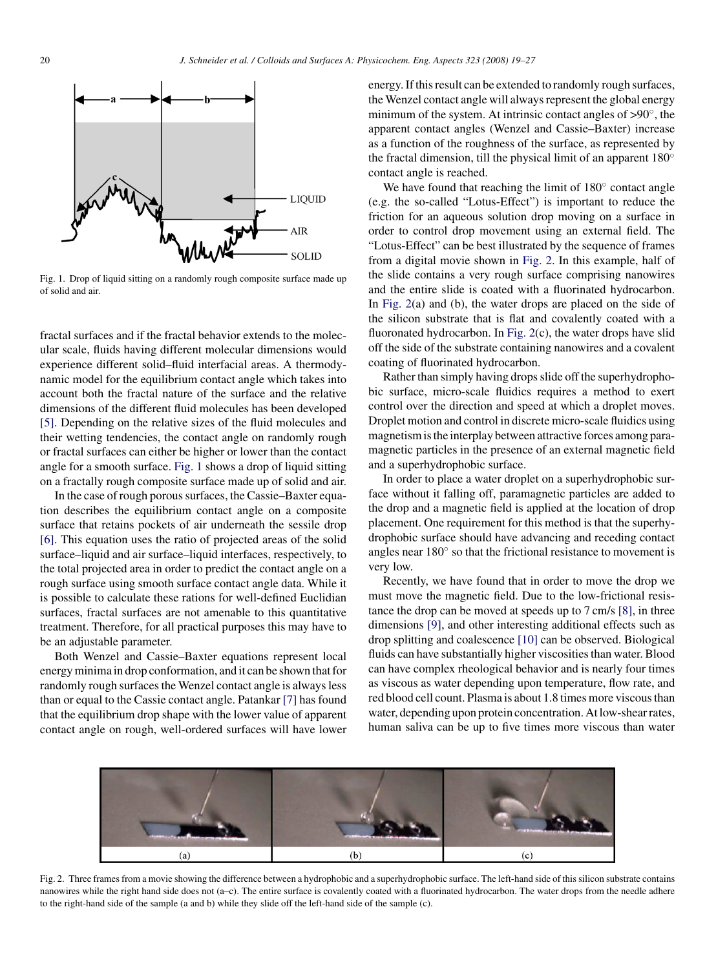

Fig. 1. Drop of liquid sitting on a randomly rough composite surface made up of solid and air.

fractal surfaces and if the fractal behavior extends to the molecular scale, fluids having different molecular dimensions would experience different solid–fluid interfacial areas. A thermodynamic model for the equilibrium contact angle which takes into account both the fractal nature of the surface and the relative dimensions of the different fluid molecules has been developed [\[5\].](#page-7-0) Depending on the relative sizes of the fluid molecules and their wetting tendencies, the contact angle on randomly rough or fractal surfaces can either be higher or lower than the contact angle for a smooth surface. Fig. 1 shows a drop of liquid sitting on a fractally rough composite surface made up of solid and air.

In the case of rough porous surfaces, the Cassie–Baxter equation describes the equilibrium contact angle on a composite surface that retains pockets of air underneath the sessile drop [\[6\].](#page-7-0) This equation uses the ratio of projected areas of the solid surface–liquid and air surface–liquid interfaces, respectively, to the total projected area in order to predict the contact angle on a rough surface using smooth surface contact angle data. While it is possible to calculate these rations for well-defined Euclidian surfaces, fractal surfaces are not amenable to this quantitative treatment. Therefore, for all practical purposes this may have to be an adjustable parameter.

Both Wenzel and Cassie–Baxter equations represent local energy minima in drop conformation, and it can be shown that for randomly rough surfaces the Wenzel contact angle is always less than or equal to the Cassie contact angle. Patankar [\[7\]](#page-7-0) has found that the equilibrium drop shape with the lower value of apparent contact angle on rough, well-ordered surfaces will have lower energy. If this result can be extended to randomly rough surfaces, the Wenzel contact angle will always represent the global energy minimum of the system. At intrinsic contact angles of >90◦, the apparent contact angles (Wenzel and Cassie–Baxter) increase as a function of the roughness of the surface, as represented by the fractal dimension, till the physical limit of an apparent 180◦ contact angle is reached.

We have found that reaching the limit of 180◦ contact angle (e.g. the so-called "Lotus-Effect") is important to reduce the friction for an aqueous solution drop moving on a surface in order to control drop movement using an external field. The "Lotus-Effect" can be best illustrated by the sequence of frames from a digital movie shown in Fig. 2. In this example, half of the slide contains a very rough surface comprising nanowires and the entire slide is coated with a fluorinated hydrocarbon. In Fig. 2(a) and (b), the water drops are placed on the side of the silicon substrate that is flat and covalently coated with a fluoronated hydrocarbon. In Fig. 2(c), the water drops have slid off the side of the substrate containing nanowires and a covalent coating of fluorinated hydrocarbon.

Rather than simply having drops slide off the superhydrophobic surface, micro-scale fluidics requires a method to exert control over the direction and speed at which a droplet moves. Droplet motion and control in discrete micro-scale fluidics using magnetism is the interplay between attractive forces among paramagnetic particles in the presence of an external magnetic field and a superhydrophobic surface.

In order to place a water droplet on a superhydrophobic surface without it falling off, paramagnetic particles are added to the drop and a magnetic field is applied at the location of drop placement. One requirement for this method is that the superhydrophobic surface should have advancing and receding contact angles near 180◦ so that the frictional resistance to movement is very low.

Recently, we have found that in order to move the drop we must move the magnetic field. Due to the low-frictional resistance the drop can be moved at speeds up to 7 cm/s [\[8\], i](#page-7-0)n three dimensions [\[9\], a](#page-7-0)nd other interesting additional effects such as drop splitting and coalescence [\[10\]](#page-7-0) can be observed. Biological fluids can have substantially higher viscosities than water. Blood can have complex rheological behavior and is nearly four times as viscous as water depending upon temperature, flow rate, and red blood cell count. Plasma is about 1.8 times more viscous than water, depending upon protein concentration. At low-shear rates, human saliva can be up to five times more viscous than water



Fig. 2. Three frames from a movie showing the difference between a hydrophobic and a superhydrophobic surface. The left-hand side of this silicon substrate contains nanowires while the right hand side does not (a–c). The entire surface is covalently coated with a fluorinated hydrocarbon. The water drops from the needle adhere to the right-hand side of the sample (a and b) while they slide off the left-hand side of the sample (c).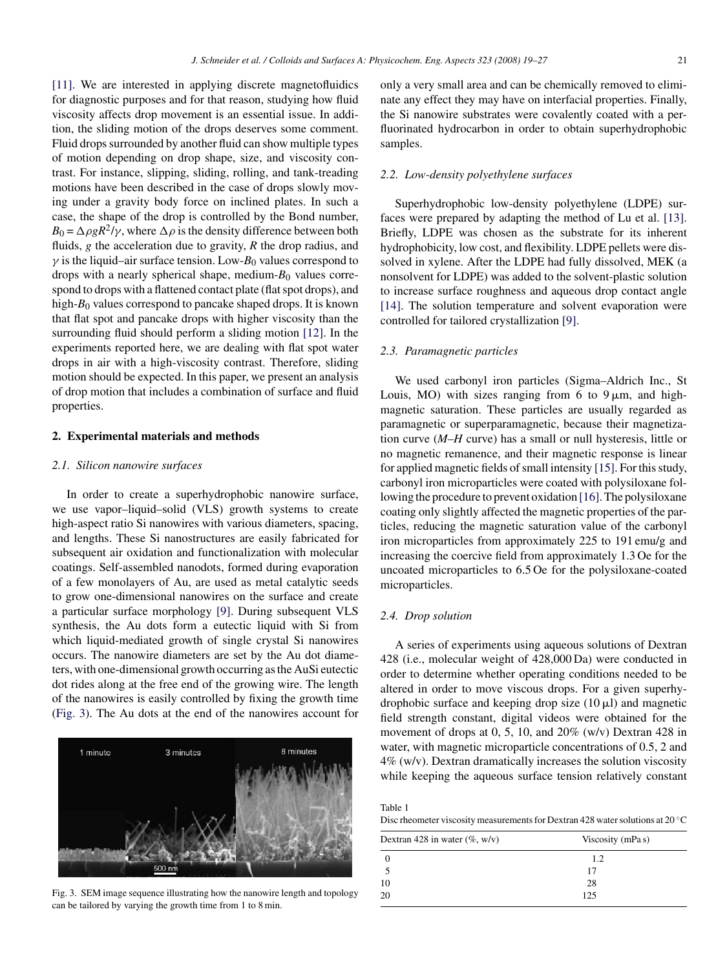<span id="page-2-0"></span>[\[11\].](#page-7-0) We are interested in applying discrete magnetofluidics for diagnostic purposes and for that reason, studying how fluid viscosity affects drop movement is an essential issue. In addition, the sliding motion of the drops deserves some comment. Fluid drops surrounded by another fluid can show multiple types of motion depending on drop shape, size, and viscosity contrast. For instance, slipping, sliding, rolling, and tank-treading motions have been described in the case of drops slowly moving under a gravity body force on inclined plates. In such a case, the shape of the drop is controlled by the Bond number,  $B_0 = \Delta \rho g R^2/\gamma$ , where  $\Delta \rho$  is the density difference between both fluids, *g* the acceleration due to gravity, *R* the drop radius, and  $\gamma$  is the liquid–air surface tension. Low- $B_0$  values correspond to drops with a nearly spherical shape, medium- $B_0$  values correspond to drops with a flattened contact plate (flat spot drops), and high- $B_0$  values correspond to pancake shaped drops. It is known that flat spot and pancake drops with higher viscosity than the surrounding fluid should perform a sliding motion [\[12\].](#page-7-0) In the experiments reported here, we are dealing with flat spot water drops in air with a high-viscosity contrast. Therefore, sliding motion should be expected. In this paper, we present an analysis of drop motion that includes a combination of surface and fluid properties.

# **2. Experimental materials and methods**

## *2.1. Silicon nanowire surfaces*

In order to create a superhydrophobic nanowire surface, we use vapor–liquid–solid (VLS) growth systems to create high-aspect ratio Si nanowires with various diameters, spacing, and lengths. These Si nanostructures are easily fabricated for subsequent air oxidation and functionalization with molecular coatings. Self-assembled nanodots, formed during evaporation of a few monolayers of Au, are used as metal catalytic seeds to grow one-dimensional nanowires on the surface and create a particular surface morphology [\[9\].](#page-7-0) During subsequent VLS synthesis, the Au dots form a eutectic liquid with Si from which liquid-mediated growth of single crystal Si nanowires occurs. The nanowire diameters are set by the Au dot diameters, with one-dimensional growth occurring as the AuSi eutectic dot rides along at the free end of the growing wire. The length of the nanowires is easily controlled by fixing the growth time (Fig. 3). The Au dots at the end of the nanowires account for



Fig. 3. SEM image sequence illustrating how the nanowire length and topology can be tailored by varying the growth time from 1 to 8 min.

only a very small area and can be chemically removed to eliminate any effect they may have on interfacial properties. Finally, the Si nanowire substrates were covalently coated with a perfluorinated hydrocarbon in order to obtain superhydrophobic samples.

## *2.2. Low-density polyethylene surfaces*

Superhydrophobic low-density polyethylene (LDPE) surfaces were prepared by adapting the method of Lu et al. [\[13\].](#page-7-0) Briefly, LDPE was chosen as the substrate for its inherent hydrophobicity, low cost, and flexibility. LDPE pellets were dissolved in xylene. After the LDPE had fully dissolved, MEK (a nonsolvent for LDPE) was added to the solvent-plastic solution to increase surface roughness and aqueous drop contact angle [\[14\].](#page-7-0) The solution temperature and solvent evaporation were controlled for tailored crystallization [\[9\].](#page-7-0)

### *2.3. Paramagnetic particles*

We used carbonyl iron particles (Sigma–Aldrich Inc., St Louis, MO) with sizes ranging from 6 to  $9 \mu m$ , and highmagnetic saturation. These particles are usually regarded as paramagnetic or superparamagnetic, because their magnetization curve (*M*–*H* curve) has a small or null hysteresis, little or no magnetic remanence, and their magnetic response is linear for applied magnetic fields of small intensity [\[15\]. F](#page-7-0)or this study, carbonyl iron microparticles were coated with polysiloxane following the procedure to prevent oxidation [\[16\]. T](#page-8-0)he polysiloxane coating only slightly affected the magnetic properties of the particles, reducing the magnetic saturation value of the carbonyl iron microparticles from approximately 225 to 191 emu/g and increasing the coercive field from approximately 1.3 Oe for the uncoated microparticles to 6.5 Oe for the polysiloxane-coated microparticles.

#### *2.4. Drop solution*

A series of experiments using aqueous solutions of Dextran 428 (i.e., molecular weight of 428,000 Da) were conducted in order to determine whether operating conditions needed to be altered in order to move viscous drops. For a given superhydrophobic surface and keeping drop size  $(10 \mu l)$  and magnetic field strength constant, digital videos were obtained for the movement of drops at 0, 5, 10, and 20% (w/v) Dextran 428 in water, with magnetic microparticle concentrations of 0.5, 2 and 4% (w/v). Dextran dramatically increases the solution viscosity while keeping the aqueous surface tension relatively constant

Table 1 Disc rheometer viscosity measurements for Dextran 428 water solutions at 20 °C

| Dextran 428 in water $(\% , w/v)$ | Viscosity (mPas) |
|-----------------------------------|------------------|
|                                   | 1.2              |
|                                   | 17               |
| 10                                | 28               |
| 20                                | 125              |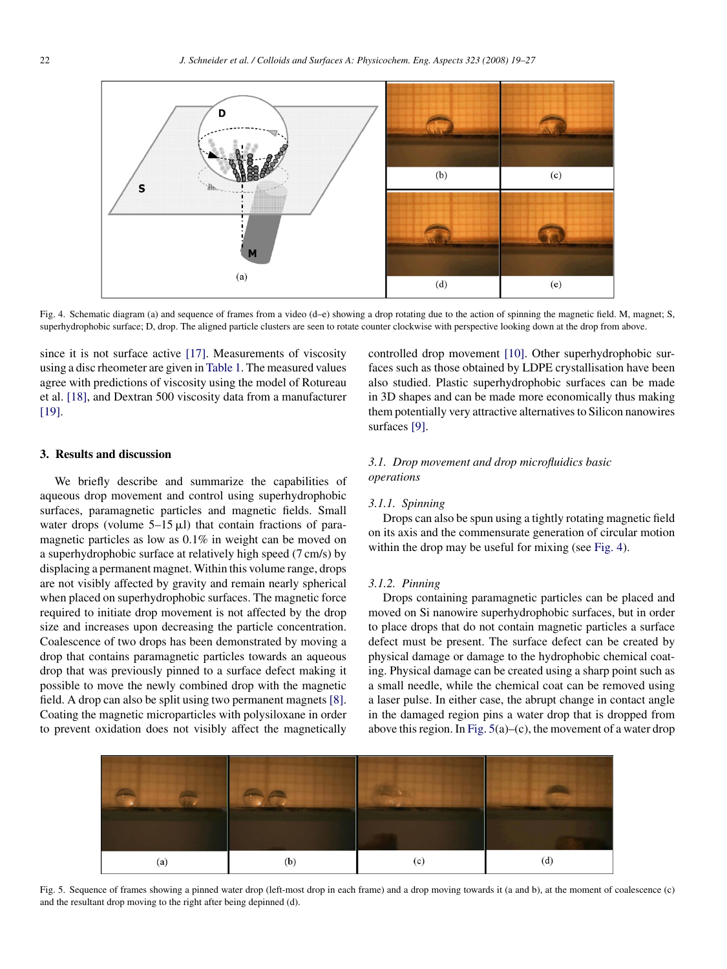<span id="page-3-0"></span>

Fig. 4. Schematic diagram (a) and sequence of frames from a video (d–e) showing a drop rotating due to the action of spinning the magnetic field. M, magnet; S, superhydrophobic surface; D, drop. The aligned particle clusters are seen to rotate counter clockwise with perspective looking down at the drop from above.

since it is not surface active [\[17\].](#page-8-0) Measurements of viscosity using a disc rheometer are given in [Table 1. T](#page-2-0)he measured values agree with predictions of viscosity using the model of Rotureau et al. [\[18\],](#page-8-0) and Dextran 500 viscosity data from a manufacturer [\[19\].](#page-8-0)

## **3. Results and discussion**

We briefly describe and summarize the capabilities of aqueous drop movement and control using superhydrophobic surfaces, paramagnetic particles and magnetic fields. Small water drops (volume  $5-15 \mu$ I) that contain fractions of paramagnetic particles as low as 0.1% in weight can be moved on a superhydrophobic surface at relatively high speed (7 cm/s) by displacing a permanent magnet. Within this volume range, drops are not visibly affected by gravity and remain nearly spherical when placed on superhydrophobic surfaces. The magnetic force required to initiate drop movement is not affected by the drop size and increases upon decreasing the particle concentration. Coalescence of two drops has been demonstrated by moving a drop that contains paramagnetic particles towards an aqueous drop that was previously pinned to a surface defect making it possible to move the newly combined drop with the magnetic field. A drop can also be split using two permanent magnets [\[8\].](#page-7-0) Coating the magnetic microparticles with polysiloxane in order to prevent oxidation does not visibly affect the magnetically controlled drop movement [\[10\].](#page-7-0) Other superhydrophobic surfaces such as those obtained by LDPE crystallisation have been also studied. Plastic superhydrophobic surfaces can be made in 3D shapes and can be made more economically thus making them potentially very attractive alternatives to Silicon nanowires surfaces [\[9\].](#page-7-0)

# *3.1. Drop movement and drop microfluidics basic operations*

# *3.1.1. Spinning*

Drops can also be spun using a tightly rotating magnetic field on its axis and the commensurate generation of circular motion within the drop may be useful for mixing (see Fig. 4).

# *3.1.2. Pinning*

Drops containing paramagnetic particles can be placed and moved on Si nanowire superhydrophobic surfaces, but in order to place drops that do not contain magnetic particles a surface defect must be present. The surface defect can be created by physical damage or damage to the hydrophobic chemical coating. Physical damage can be created using a sharp point such as a small needle, while the chemical coat can be removed using a laser pulse. In either case, the abrupt change in contact angle in the damaged region pins a water drop that is dropped from above this region. In Fig.  $5(a)$ –(c), the movement of a water drop



Fig. 5. Sequence of frames showing a pinned water drop (left-most drop in each frame) and a drop moving towards it (a and b), at the moment of coalescence (c) and the resultant drop moving to the right after being depinned (d).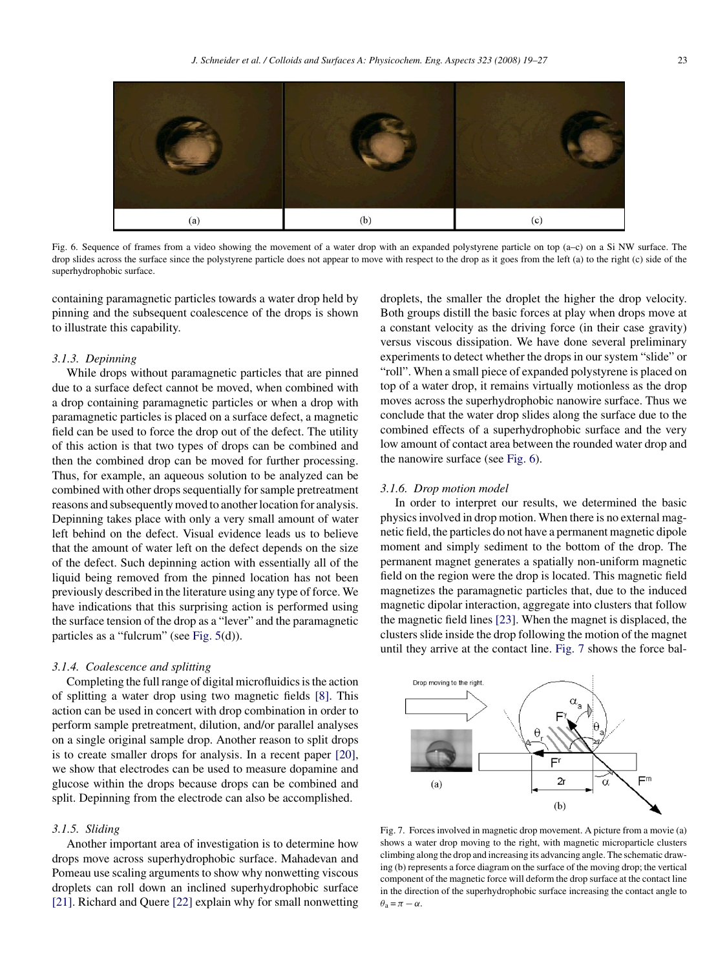<span id="page-4-0"></span>

Fig. 6. Sequence of frames from a video showing the movement of a water drop with an expanded polystyrene particle on top (a–c) on a Si NW surface. The drop slides across the surface since the polystyrene particle does not appear to move with respect to the drop as it goes from the left (a) to the right (c) side of the superhydrophobic surface.

containing paramagnetic particles towards a water drop held by pinning and the subsequent coalescence of the drops is shown to illustrate this capability.

## *3.1.3. Depinning*

While drops without paramagnetic particles that are pinned due to a surface defect cannot be moved, when combined with a drop containing paramagnetic particles or when a drop with paramagnetic particles is placed on a surface defect, a magnetic field can be used to force the drop out of the defect. The utility of this action is that two types of drops can be combined and then the combined drop can be moved for further processing. Thus, for example, an aqueous solution to be analyzed can be combined with other drops sequentially for sample pretreatment reasons and subsequently moved to another location for analysis. Depinning takes place with only a very small amount of water left behind on the defect. Visual evidence leads us to believe that the amount of water left on the defect depends on the size of the defect. Such depinning action with essentially all of the liquid being removed from the pinned location has not been previously described in the literature using any type of force. We have indications that this surprising action is performed using the surface tension of the drop as a "lever" and the paramagnetic particles as a "fulcrum" (see [Fig. 5\(d](#page-3-0))).

# *3.1.4. Coalescence and splitting*

Completing the full range of digital microfluidics is the action of splitting a water drop using two magnetic fields [\[8\].](#page-7-0) This action can be used in concert with drop combination in order to perform sample pretreatment, dilution, and/or parallel analyses on a single original sample drop. Another reason to split drops is to create smaller drops for analysis. In a recent paper [\[20\],](#page-8-0) we show that electrodes can be used to measure dopamine and glucose within the drops because drops can be combined and split. Depinning from the electrode can also be accomplished.

## *3.1.5. Sliding*

Another important area of investigation is to determine how drops move across superhydrophobic surface. Mahadevan and Pomeau use scaling arguments to show why nonwetting viscous droplets can roll down an inclined superhydrophobic surface [\[21\].](#page-8-0) Richard and Quere [\[22\]](#page-8-0) explain why for small nonwetting droplets, the smaller the droplet the higher the drop velocity. Both groups distill the basic forces at play when drops move at a constant velocity as the driving force (in their case gravity) versus viscous dissipation. We have done several preliminary experiments to detect whether the drops in our system "slide" or "roll". When a small piece of expanded polystyrene is placed on top of a water drop, it remains virtually motionless as the drop moves across the superhydrophobic nanowire surface. Thus we conclude that the water drop slides along the surface due to the combined effects of a superhydrophobic surface and the very low amount of contact area between the rounded water drop and the nanowire surface (see Fig. 6).

# *3.1.6. Drop motion model*

In order to interpret our results, we determined the basic physics involved in drop motion. When there is no external magnetic field, the particles do not have a permanent magnetic dipole moment and simply sediment to the bottom of the drop. The permanent magnet generates a spatially non-uniform magnetic field on the region were the drop is located. This magnetic field magnetizes the paramagnetic particles that, due to the induced magnetic dipolar interaction, aggregate into clusters that follow the magnetic field lines [\[23\].](#page-8-0) When the magnet is displaced, the clusters slide inside the drop following the motion of the magnet until they arrive at the contact line. Fig. 7 shows the force bal-



Fig. 7. Forces involved in magnetic drop movement. A picture from a movie (a) shows a water drop moving to the right, with magnetic microparticle clusters climbing along the drop and increasing its advancing angle. The schematic drawing (b) represents a force diagram on the surface of the moving drop; the vertical component of the magnetic force will deform the drop surface at the contact line in the direction of the superhydrophobic surface increasing the contact angle to  $\theta_2 = \pi - \alpha$ .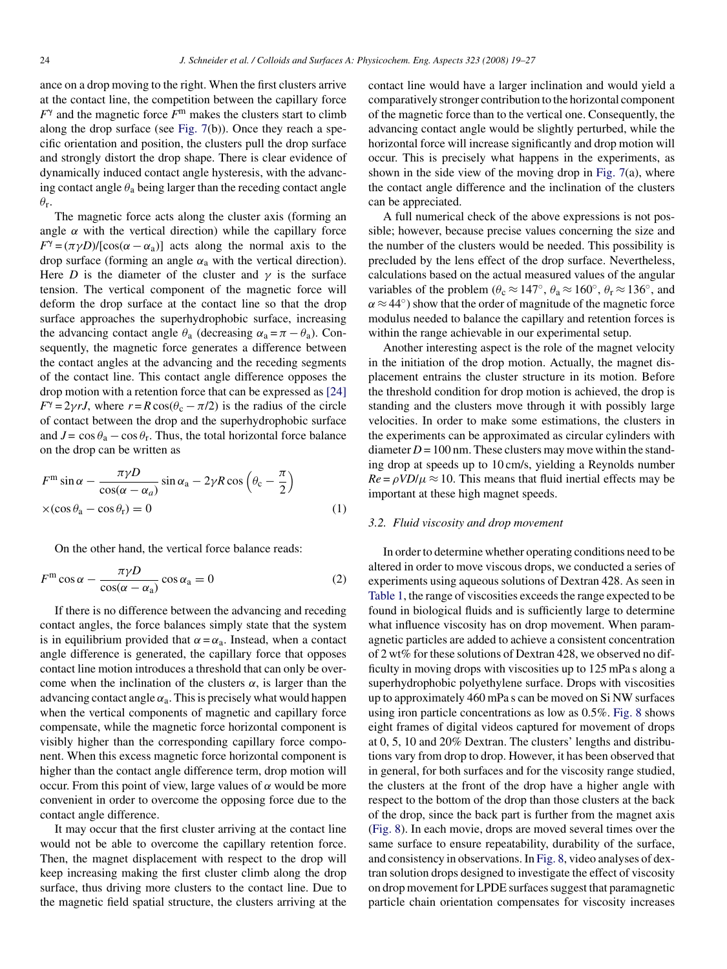ance on a drop moving to the right. When the first clusters arrive at the contact line, the competition between the capillary force  $F^{\gamma}$  and the magnetic force  $F^{\text{m}}$  makes the clusters start to climb along the drop surface (see [Fig. 7\(b](#page-4-0))). Once they reach a specific orientation and position, the clusters pull the drop surface and strongly distort the drop shape. There is clear evidence of dynamically induced contact angle hysteresis, with the advancing contact angle  $\theta_a$  being larger than the receding contact angle  $\theta_{r}$ .

The magnetic force acts along the cluster axis (forming an angle  $\alpha$  with the vertical direction) while the capillary force  $F^{\gamma} = (\pi \gamma D)/[\cos(\alpha - \alpha_a)]$  acts along the normal axis to the drop surface (forming an angle  $\alpha_a$  with the vertical direction). Here *D* is the diameter of the cluster and  $\gamma$  is the surface tension. The vertical component of the magnetic force will deform the drop surface at the contact line so that the drop surface approaches the superhydrophobic surface, increasing the advancing contact angle  $\theta_a$  (decreasing  $\alpha_a = \pi - \theta_a$ ). Consequently, the magnetic force generates a difference between the contact angles at the advancing and the receding segments of the contact line. This contact angle difference opposes the drop motion with a retention force that can be expressed as [\[24\]](#page-8-0)  $F^{\gamma} = 2\gamma rJ$ , where  $r = R \cos(\theta_c - \pi/2)$  is the radius of the circle of contact between the drop and the superhydrophobic surface and  $J = \cos \theta_a - \cos \theta_r$ . Thus, the total horizontal force balance on the drop can be written as

$$
F^{\text{m}}\sin\alpha - \frac{\pi\gamma D}{\cos(\alpha - \alpha_a)}\sin\alpha_a - 2\gamma R \cos\left(\theta_c - \frac{\pi}{2}\right)
$$
  
× $(\cos\theta_a - \cos\theta_r) = 0$  (1)

On the other hand, the vertical force balance reads:

$$
F^{\mathbf{m}}\cos\alpha - \frac{\pi\gamma D}{\cos(\alpha - \alpha_{\mathbf{a}})}\cos\alpha_{\mathbf{a}} = 0
$$
 (2)

If there is no difference between the advancing and receding contact angles, the force balances simply state that the system is in equilibrium provided that  $\alpha = \alpha_a$ . Instead, when a contact angle difference is generated, the capillary force that opposes contact line motion introduces a threshold that can only be overcome when the inclination of the clusters  $\alpha$ , is larger than the advancing contact angle  $\alpha_a$ . This is precisely what would happen when the vertical components of magnetic and capillary force compensate, while the magnetic force horizontal component is visibly higher than the corresponding capillary force component. When this excess magnetic force horizontal component is higher than the contact angle difference term, drop motion will occur. From this point of view, large values of  $\alpha$  would be more convenient in order to overcome the opposing force due to the contact angle difference.

It may occur that the first cluster arriving at the contact line would not be able to overcome the capillary retention force. Then, the magnet displacement with respect to the drop will keep increasing making the first cluster climb along the drop surface, thus driving more clusters to the contact line. Due to the magnetic field spatial structure, the clusters arriving at the

contact line would have a larger inclination and would yield a comparatively stronger contribution to the horizontal component of the magnetic force than to the vertical one. Consequently, the advancing contact angle would be slightly perturbed, while the horizontal force will increase significantly and drop motion will occur. This is precisely what happens in the experiments, as shown in the side view of the moving drop in Fig.  $7(a)$ , where the contact angle difference and the inclination of the clusters can be appreciated.

A full numerical check of the above expressions is not possible; however, because precise values concerning the size and the number of the clusters would be needed. This possibility is precluded by the lens effect of the drop surface. Nevertheless, calculations based on the actual measured values of the angular variables of the problem ( $\theta_c \approx 147^\circ$ ,  $\theta_a \approx 160^\circ$ ,  $\theta_r \approx 136^\circ$ , and  $\alpha \approx 44^{\circ}$ ) show that the order of magnitude of the magnetic force modulus needed to balance the capillary and retention forces is within the range achievable in our experimental setup.

Another interesting aspect is the role of the magnet velocity in the initiation of the drop motion. Actually, the magnet displacement entrains the cluster structure in its motion. Before the threshold condition for drop motion is achieved, the drop is standing and the clusters move through it with possibly large velocities. In order to make some estimations, the clusters in the experiments can be approximated as circular cylinders with diameter  $D = 100$  nm. These clusters may move within the standing drop at speeds up to 10 cm/s, yielding a Reynolds number  $Re = \rho V D / \mu \approx 10$ . This means that fluid inertial effects may be important at these high magnet speeds.

## *3.2. Fluid viscosity and drop movement*

In order to determine whether operating conditions need to be altered in order to move viscous drops, we conducted a series of experiments using aqueous solutions of Dextran 428. As seen in [Table 1, t](#page-2-0)he range of viscosities exceeds the range expected to be found in biological fluids and is sufficiently large to determine what influence viscosity has on drop movement. When paramagnetic particles are added to achieve a consistent concentration of 2 wt% for these solutions of Dextran 428, we observed no difficulty in moving drops with viscosities up to 125 mPa s along a superhydrophobic polyethylene surface. Drops with viscosities up to approximately 460 mPa s can be moved on Si NW surfaces using iron particle concentrations as low as 0.5%. [Fig. 8](#page-6-0) shows eight frames of digital videos captured for movement of drops at 0, 5, 10 and 20% Dextran. The clusters' lengths and distributions vary from drop to drop. However, it has been observed that in general, for both surfaces and for the viscosity range studied, the clusters at the front of the drop have a higher angle with respect to the bottom of the drop than those clusters at the back of the drop, since the back part is further from the magnet axis [\(Fig. 8\).](#page-6-0) In each movie, drops are moved several times over the same surface to ensure repeatability, durability of the surface, and consistency in observations. In [Fig. 8, v](#page-6-0)ideo analyses of dextran solution drops designed to investigate the effect of viscosity on drop movement for LPDE surfaces suggest that paramagnetic particle chain orientation compensates for viscosity increases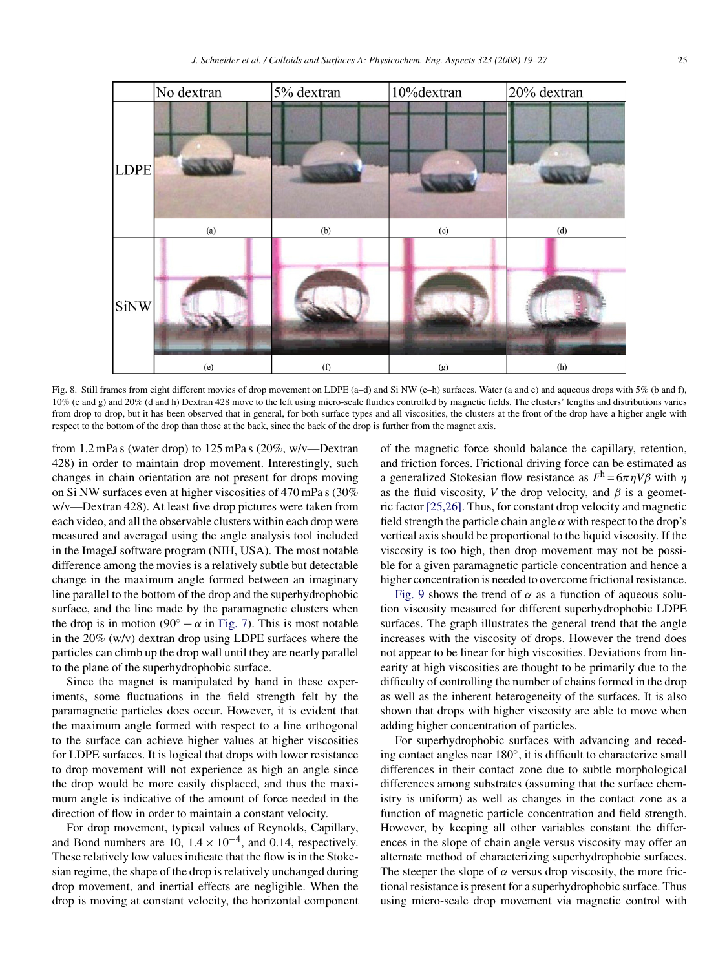<span id="page-6-0"></span>

Fig. 8. Still frames from eight different movies of drop movement on LDPE (a–d) and Si NW (e–h) surfaces. Water (a and e) and aqueous drops with 5% (b and f), 10% (c and g) and 20% (d and h) Dextran 428 move to the left using micro-scale fluidics controlled by magnetic fields. The clusters' lengths and distributions varies from drop to drop, but it has been observed that in general, for both surface types and all viscosities, the clusters at the front of the drop have a higher angle with respect to the bottom of the drop than those at the back, since the back of the drop is further from the magnet axis.

from 1.2 mPa s (water drop) to 125 mPa s (20%, w/v—Dextran 428) in order to maintain drop movement. Interestingly, such changes in chain orientation are not present for drops moving on Si NW surfaces even at higher viscosities of 470 mPa s (30% w/v—Dextran 428). At least five drop pictures were taken from each video, and all the observable clusters within each drop were measured and averaged using the angle analysis tool included in the ImageJ software program (NIH, USA). The most notable difference among the movies is a relatively subtle but detectable change in the maximum angle formed between an imaginary line parallel to the bottom of the drop and the superhydrophobic surface, and the line made by the paramagnetic clusters when the drop is in motion (90° –  $\alpha$  in [Fig. 7\).](#page-4-0) This is most notable in the 20% (w/v) dextran drop using LDPE surfaces where the particles can climb up the drop wall until they are nearly parallel to the plane of the superhydrophobic surface.

Since the magnet is manipulated by hand in these experiments, some fluctuations in the field strength felt by the paramagnetic particles does occur. However, it is evident that the maximum angle formed with respect to a line orthogonal to the surface can achieve higher values at higher viscosities for LDPE surfaces. It is logical that drops with lower resistance to drop movement will not experience as high an angle since the drop would be more easily displaced, and thus the maximum angle is indicative of the amount of force needed in the direction of flow in order to maintain a constant velocity.

For drop movement, typical values of Reynolds, Capillary, and Bond numbers are 10,  $1.4 \times 10^{-4}$ , and 0.14, respectively. These relatively low values indicate that the flow is in the Stokesian regime, the shape of the drop is relatively unchanged during drop movement, and inertial effects are negligible. When the drop is moving at constant velocity, the horizontal component of the magnetic force should balance the capillary, retention, and friction forces. Frictional driving force can be estimated as a generalized Stokesian flow resistance as  $F^h = 6\pi \eta V \beta$  with  $\eta$ as the fluid viscosity, *V* the drop velocity, and  $\beta$  is a geometric factor [\[25,26\]. T](#page-8-0)hus, for constant drop velocity and magnetic field strength the particle chain angle  $\alpha$  with respect to the drop's vertical axis should be proportional to the liquid viscosity. If the viscosity is too high, then drop movement may not be possible for a given paramagnetic particle concentration and hence a higher concentration is needed to overcome frictional resistance.

[Fig. 9](#page-7-0) shows the trend of  $\alpha$  as a function of aqueous solution viscosity measured for different superhydrophobic LDPE surfaces. The graph illustrates the general trend that the angle increases with the viscosity of drops. However the trend does not appear to be linear for high viscosities. Deviations from linearity at high viscosities are thought to be primarily due to the difficulty of controlling the number of chains formed in the drop as well as the inherent heterogeneity of the surfaces. It is also shown that drops with higher viscosity are able to move when adding higher concentration of particles.

For superhydrophobic surfaces with advancing and receding contact angles near 180◦, it is difficult to characterize small differences in their contact zone due to subtle morphological differences among substrates (assuming that the surface chemistry is uniform) as well as changes in the contact zone as a function of magnetic particle concentration and field strength. However, by keeping all other variables constant the differences in the slope of chain angle versus viscosity may offer an alternate method of characterizing superhydrophobic surfaces. The steeper the slope of  $\alpha$  versus drop viscosity, the more frictional resistance is present for a superhydrophobic surface. Thus using micro-scale drop movement via magnetic control with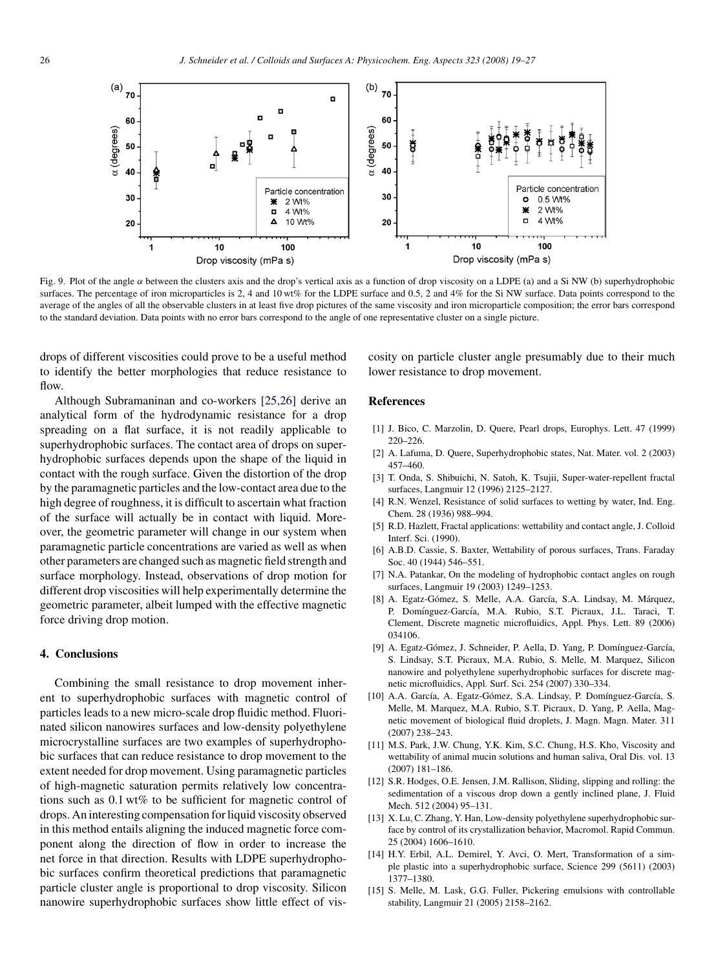<span id="page-7-0"></span>

Fig. 9. Plot of the angle  $\alpha$  between the clusters axis and the drop's vertical axis as a function of drop viscosity on a LDPE (a) and a Si NW (b) superhydrophobic surfaces. The percentage of iron microparticles is 2, 4 and 10 wt% for the LDPE surface and 0.5, 2 and 4% for the Si NW surface. Data points correspond to the average of the angles of all the observable clusters in at least five drop pictures of the same viscosity and iron microparticle composition; the error bars correspond to the standard deviation. Data points with no error bars correspond to the angle of one representative cluster on a single picture.

drops of different viscosities could prove to be a useful method to identify the better morphologies that reduce resistance to flow.

Although Subramaninan and co-workers [\[25,26\]](#page-8-0) derive an analytical form of the hydrodynamic resistance for a drop spreading on a flat surface, it is not readily applicable to superhydrophobic surfaces. The contact area of drops on superhydrophobic surfaces depends upon the shape of the liquid in contact with the rough surface. Given the distortion of the drop by the paramagnetic particles and the low-contact area due to the high degree of roughness, it is difficult to ascertain what fraction of the surface will actually be in contact with liquid. Moreover, the geometric parameter will change in our system when paramagnetic particle concentrations are varied as well as when other parameters are changed such as magnetic field strength and surface morphology. Instead, observations of drop motion for different drop viscosities will help experimentally determine the geometric parameter, albeit lumped with the effective magnetic force driving drop motion.

# **4. Conclusions**

Combining the small resistance to drop movement inherent to superhydrophobic surfaces with magnetic control of particles leads to a new micro-scale drop fluidic method. Fluorinated silicon nanowires surfaces and low-density polyethylene microcrystalline surfaces are two examples of superhydrophobic surfaces that can reduce resistance to drop movement to the extent needed for drop movement. Using paramagnetic particles of high-magnetic saturation permits relatively low concentrations such as 0.1 wt% to be sufficient for magnetic control of drops. An interesting compensation for liquid viscosity observed in this method entails aligning the induced magnetic force component along the direction of flow in order to increase the net force in that direction. Results with LDPE superhydrophobic surfaces confirm theoretical predictions that paramagnetic particle cluster angle is proportional to drop viscosity. Silicon nanowire superhydrophobic surfaces show little effect of viscosity on particle cluster angle presumably due to their much lower resistance to drop movement.

### **References**

- [1] J. Bico, C. Marzolin, D. Quere, Pearl drops, Europhys. Lett. 47 (1999) 220–226.
- [2] A. Lafuma, D. Quere, Superhydrophobic states, Nat. Mater. vol. 2 (2003) 457–460.
- [3] T. Onda, S. Shibuichi, N. Satoh, K. Tsujii, Super-water-repellent fractal surfaces, Langmuir 12 (1996) 2125–2127.
- [4] R.N. Wenzel, Resistance of solid surfaces to wetting by water, Ind. Eng. Chem. 28 (1936) 988–994.
- [5] R.D. Hazlett, Fractal applications: wettability and contact angle, J. Colloid Interf. Sci. (1990).
- [6] A.B.D. Cassie, S. Baxter, Wettability of porous surfaces, Trans. Faraday Soc. 40 (1944) 546–551.
- [7] N.A. Patankar, On the modeling of hydrophobic contact angles on rough surfaces, Langmuir 19 (2003) 1249–1253.
- [8] A. Egatz-Gómez, S. Melle, A.A. García, S.A. Lindsay, M. Márquez, P. Domínguez-García, M.A. Rubio, S.T. Picraux, J.L. Taraci, T. Clement, Discrete magnetic microfluidics, Appl. Phys. Lett. 89 (2006) 034106.
- [9] A. Egatz-Gómez, J. Schneider, P. Aella, D. Yang, P. Domínguez-García, S. Lindsay, S.T. Picraux, M.A. Rubio, S. Melle, M. Marquez, Silicon nanowire and polyethylene superhydrophobic surfaces for discrete magnetic microfluidics, Appl. Surf. Sci. 254 (2007) 330–334.
- [10] A.A. García, A. Egatz-Gómez, S.A. Lindsay, P. Domínguez-García, S. Melle, M. Marquez, M.A. Rubio, S.T. Picraux, D. Yang, P. Aella, Magnetic movement of biological fluid droplets, J. Magn. Magn. Mater. 311 (2007) 238–243.
- [11] M.S. Park, J.W. Chung, Y.K. Kim, S.C. Chung, H.S. Kho, Viscosity and wettability of animal mucin solutions and human saliva, Oral Dis. vol. 13 (2007) 181–186.
- [12] S.R. Hodges, O.E. Jensen, J.M. Rallison, Sliding, slipping and rolling: the sedimentation of a viscous drop down a gently inclined plane, J. Fluid Mech. 512 (2004) 95–131.
- [13] X. Lu, C. Zhang, Y. Han, Low-density polyethylene superhydrophobic surface by control of its crystallization behavior, Macromol. Rapid Commun. 25 (2004) 1606–1610.
- [14] H.Y. Erbil, A.L. Demirel, Y. Avci, O. Mert, Transformation of a simple plastic into a superhydrophobic surface, Science 299 (5611) (2003) 1377–1380.
- [15] S. Melle, M. Lask, G.G. Fuller, Pickering emulsions with controllable stability, Langmuir 21 (2005) 2158–2162.